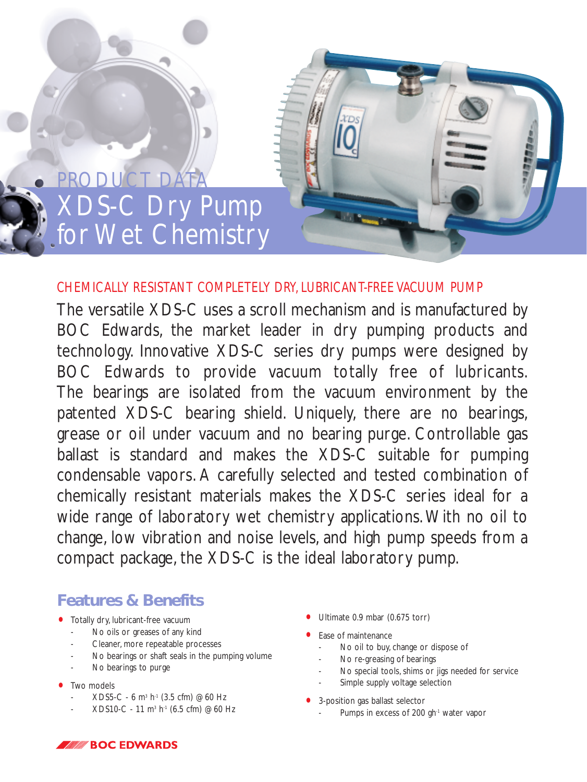

## *CHEMICALLY RESISTANT COMPLETELY DRY, LUBRICANT-FREE VACUUM PUMP*

The versatile XDS-C uses a scroll mechanism and is manufactured by BOC Edwards, the market leader in dry pumping products and technology. Innovative XDS-C series dry pumps were designed by BOC Edwards to provide vacuum totally free of lubricants. The bearings are isolated from the vacuum environment by the patented XDS-C bearing shield. Uniquely, there are no bearings, grease or oil under vacuum and no bearing purge. Controllable gas ballast is standard and makes the XDS-C suitable for pumping condensable vapors. A carefully selected and tested combination of chemically resistant materials makes the XDS-C series ideal for a wide range of laboratory wet chemistry applications. With no oil to change, low vibration and noise levels, and high pump speeds from a compact package, the XDS-C is the ideal laboratory pump.

## **Features & Benefits**

- Totally dry, lubricant-free vacuum
	- No oils or greases of any kind
	- Cleaner, more repeatable processes
	- No bearings or shaft seals in the pumping volume
	- No bearings to purge
- Two models
	- $XDS5-C 6 m<sup>3</sup> h<sup>-1</sup> (3.5 cfm) @60 Hz$
	- XDS10-C 11 m<sup>3</sup> h<sup>-1</sup> (6.5 cfm) @60 Hz
- Ultimate 0.9 mbar (0.675 torr)
- Ease of maintenance
	- No oil to buy, change or dispose of
	- No re-greasing of bearings
	- No special tools, shims or jigs needed for service
		- Simple supply voltage selection
- 3-position gas ballast selector
	- Pumps in excess of 200 gh<sup>-1</sup> water vapor